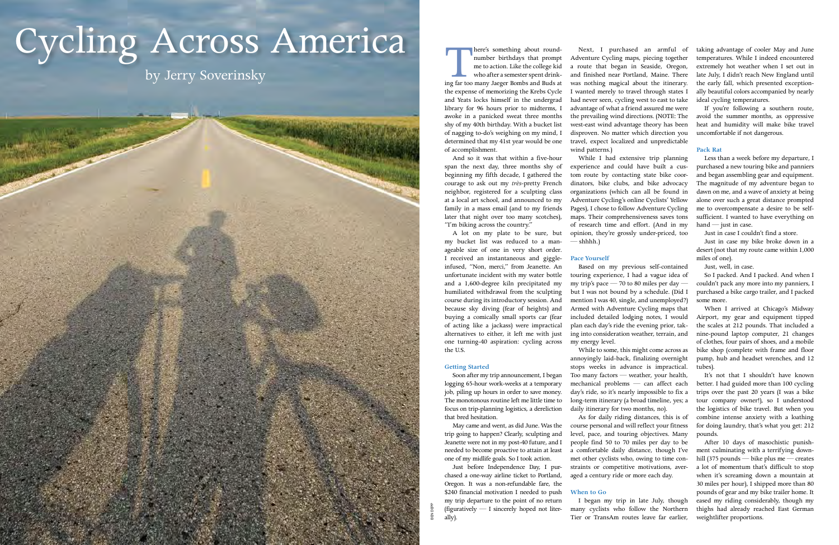**There's something about round-**<br>
number birthdays that prompt<br>
me to action. Like the college kid<br>
who after a semester spent drink-<br>
ing far too many Jaeger Bombs and Buds at number birthdays that prompt me to action. Like the college kid who after a semester spent drinkthe expense of memorizing the Krebs Cycle and Yeats locks himself in the undergrad library for 96 hours prior to midterms, I awoke in a panicked sweat three months shy of my 40th birthday. With a bucket list of nagging to-do's weighing on my mind, I determined that my 41st year would be one of accomplishment.

And so it was that within a five-hour span the next day, three months shy of beginning my fifth decade, I gathered the courage to ask out my *très*-pretty French neighbor, registered for a sculpting class at a local art school, and announced to my family in a mass email (and to my friends later that night over too many scotches), "I'm biking across the country."

A lot on my plate to be sure, but my bucket list was reduced to a manageable size of one in very short order. I received an instantaneous and giggleinfused, "Non, merci," from Jeanette. An unfortunate incident with my water bottle and a 1,600-degree kiln precipitated my humiliated withdrawal from the sculpting course during its introductory session. And because sky diving (fear of heights) and buying a comically small sports car (fear of acting like a jackass) were impractical alternatives to either, it left me with just one turning-40 aspiration: cycling across the U.S.

While I had extensive trip planning experience and could have built a custom route by contacting state bike coordinators, bike clubs, and bike advocacy organizations (which can all be found in Adventure Cycling's online Cyclists' Yellow Pages), I chose to follow Adventure Cycling maps. Their comprehensiveness saves tons of research time and effort. (And in my opinion, they're grossly under-priced, too  $-$ shhhh. $)$ 

#### **Getting Started**

Soon after my trip announcement, I began logging 65-hour work-weeks at a temporary job, piling up hours in order to save money. The monotonous routine left me little time to focus on trip-planning logistics, a dereliction that bred hesitation.

May came and went, as did June. Was the trip going to happen? Clearly, sculpting and Jeanette were not in my post-40 future, and I needed to become proactive to attain at least one of my midlife goals. So I took action.

Just before Independence Day, I purchased a one-way airline ticket to Portland, Oregon. It was a non-refundable fare, the \$240 financial motivation I needed to push my trip departure to the point of no return (figuratively — I sincerely hoped not literally).

Less than a week before my departure, I purchased a new touring bike and panniers and began assembling gear and equipment. The magnitude of my adventure began to dawn on me, and a wave of anxiety at being alone over such a great distance prompted me to overcompensate a desire to be selfsufficient. I wanted to have everything on hand — just in case.

Next, I purchased an armful of Adventure Cycling maps, piecing together a route that began in Seaside, Oregon, and finished near Portland, Maine. There was nothing magical about the itinerary. I wanted merely to travel through states I had never seen, cycling west to east to take advantage of what a friend assured me were the prevailing wind directions. (NOTE: The west-east wind advantage theory has been disproven. No matter which direction you travel, expect localized and unpredictable wind patterns.)

# **Pace Yourself**

Based on my previous self-contained touring experience, I had a vague idea of my trip's pace  $-70$  to 80 miles per day  $$ but I was not bound by a schedule. (Did I mention I was 40, single, and unemployed?) Armed with Adventure Cycling maps that included detailed lodging notes, I would plan each day's ride the evening prior, taking into consideration weather, terrain, and my energy level.

While to some, this might come across as annoyingly laid-back, finalizing overnight stops weeks in advance is impractical. tubes). Too many factors — weather, your health, mechanical problems — can affect each day's ride, so it's nearly impossible to fix a long-term itinerary (a broad timeline, yes; a daily itinerary for two months, no).

As for daily riding distances, this is of course personal and will reflect your fitness level, pace, and touring objectives. Many people find 50 to 70 miles per day to be a comfortable daily distance, though I've met other cyclists who, owing to time constraints or competitive motivations, averaged a century ride or more each day.

#### **When to Go**

I began my trip in late July, though many cyclists who follow the Northern Tier or TransAm routes leave far earlier,

taking advantage of cooler May and June temperatures. While I indeed encountered extremely hot weather when I set out in late July, I didn't reach New England until the early fall, which presented exceptionally beautiful colors accompanied by nearly ideal cycling temperatures.

If you're following a southern route, avoid the summer months, as oppressive heat and humidity will make bike travel uncomfortable if not dangerous.

### **Pack Rat**

Just in case I couldn't find a store.

Just in case my bike broke down in a desert (not that my route came within 1,000 miles of one).

Just, well, in case.

So I packed. And I packed. And when I couldn't pack any more into my panniers, I purchased a bike cargo trailer, and I packed some more.

When I arrived at Chicago's Midway Airport, my gear and equipment tipped the scales at 212 pounds. That included a nine-pound laptop computer, 21 changes of clothes, four pairs of shoes, and a mobile bike shop (complete with frame and floor pump, hub and headset wrenches, and 12

It's not that I shouldn't have known better. I had guided more than 100 cycling trips over the past 20 years (I was a bike tour company owner!), so I understood the logistics of bike travel. But when you combine intense anxiety with a loathing for doing laundry, that's what you get: 212 pounds.

After 10 days of masochistic punishment culminating with a terrifying downhill (375 pounds — bike plus me — creates a lot of momentum that's difficult to stop when it's screaming down a mountain at 30 miles per hour), I shipped more than 80 pounds of gear and my bike trailer home. It eased my riding considerably, though my thighs had already reached East German weightlifter proportions.

# Cycling Across America

Ben Depp

즮

by Jerry Soverinsky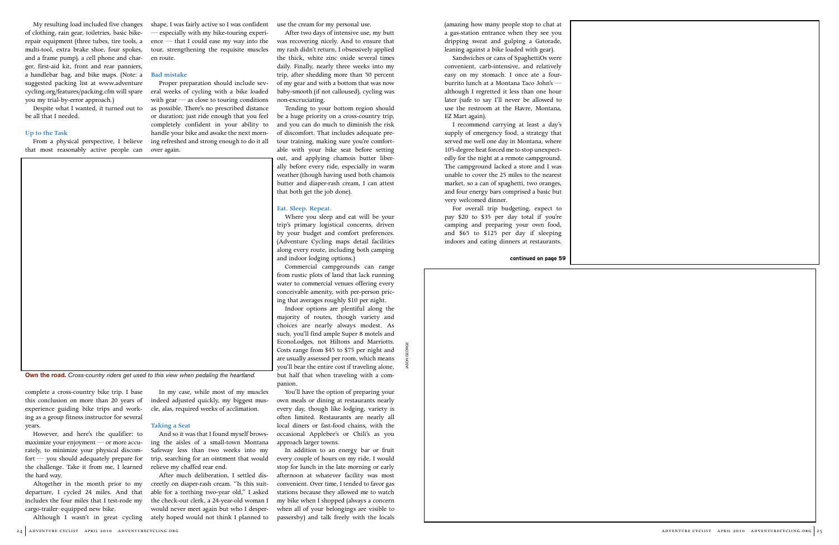My resulting load included five changes of clothing, rain gear, toiletries, basic bikerepair equipment (three tubes, tire tools, a multi-tool, extra brake shoe, four spokes, and a frame pump), a cell phone and charger, first-aid kit, front and rear panniers, a handlebar bag, and bike maps. (Note: a suggested packing list at www.adventure cycling.org/features/packing.cfm will spare you my trial-by-error approach.)

Despite what I wanted, it turned out to be all that I needed.

#### **Up to the Task**

From a physical perspective, I believe that most reasonably active people can

complete a cross-country bike trip. I base this conclusion on more than 20 years of experience guiding bike trips and working as a group fitness instructor for several years.

However, and here's the qualifier: to maximize your enjoyment — or more accurately, to minimize your physical discomfort — you should adequately prepare for the challenge. Take it from me, I learned the hard way.

Altogether in the month prior to my departure, I cycled 24 miles. And that includes the four miles that I test-rode my cargo-trailer–equipped new bike.

shape, I was fairly active so I was confident — especially with my bike-touring experience — that I could ease my way into the tour, strengthening the requisite muscles en route.

#### **Bad mistake**

Proper preparation should include several weeks of cycling with a bike loaded with gear — as close to touring conditions as possible. There's no prescribed distance or duration; just ride enough that you feel completely confident in your ability to handle your bike and awake the next morning refreshed and strong enough to do it all over again.

Although I wasn't in great cycling ately hoped would not think I planned to

In my case, while most of my muscles indeed adjusted quickly, my biggest muscle, alas, required weeks of acclimation.

**Taking a Seat**

And so it was that I found myself browsing the aisles of a small-town Montana Safeway less than two weeks into my trip, searching for an ointment that would

relieve my chaffed rear end.

After much deliberation, I settled discreetly on diaper-rash cream. "Is this suitable for a teething two-year old," I asked the check-out clerk, a 24-year-old woman I would never meet again but who I desperuse the cream for my personal use.

After two days of intensive use, my butt was recovering nicely. And to ensure that my rash didn't return, I obsessively applied the thick, white zinc oxide several times daily. Finally, nearly three weeks into my trip, after shedding more than 50 percent of my gear and with a bottom that was now baby-smooth (if not calloused), cycling was non-excruciating.

> For overall trip budgeting, expect to pay \$20 to \$35 per day total if you're camping and preparing your own food, and \$65 to \$125 per day if sleeping indoors and eating dinners at restaurants.

Tending to your bottom region should be a huge priority on a cross-country trip, and you can do much to diminish the risk of discomfort. That includes adequate pretour training, making sure you're comfortable with your bike seat before setting out, and applying chamois butter liberally before every ride, especially in warm weather (though having used both chamois butter and diaper-rash cream, I can attest that both get the job done).

#### **Eat. Sleep. Repeat.**

Where you sleep and eat will be your trip's primary logistical concerns, driven by your budget and comfort preferences. (Adventure Cycling maps detail facilities along every route, including both camping and indoor lodging options.)

Commercial campgrounds can range from rustic plots of land that lack running water to commercial venues offering every conceivable amenity, with per-person pricing that averages roughly \$10 per night.

Indoor options are plentiful along the majority of routes, though variety and choices are nearly always modest. As such, you'll find ample Super 8 motels and EconoLodges, not Hiltons and Marriotts. Costs range from \$45 to \$75 per night and are usually assessed per room, which means you'll bear the entire cost if traveling alone, but half that when traveling with a companion.

You'll have the option of preparing your own meals or dining at restaurants nearly every day, though like lodging, variety is often limited. Restaurants are nearly all local diners or fast-food chains, with the occasional Applebee's or Chili's as you approach larger towns.

In addition to an energy bar or fruit every couple of hours on my ride, I would stop for lunch in the late morning or early afternoon at whatever facility was most convenient. Over time, I tended to favor gas stations because they allowed me to watch my bike when I shopped (always a concern when all of your belongings are visible to passersby) and talk freely with the locals

(amazing how many people stop to chat at a gas-station entrance when they see you dripping sweat and gulping a Gatorade, leaning against a bike loaded with gear).

Sandwiches or cans of SpaghettiOs were convenient, carb-intensive, and relatively easy on my stomach. I once ate a fourburrito lunch at a Montana Taco John's although I regretted it less than one hour later (safe to say I'll never be allowed to use the restroom at the Havre, Montana, EZ Mart again).

I recommend carrying at least a day's supply of emergency food, a strategy that served me well one day in Montana, where 105-degree heat forced me to stop unexpectedly for the night at a remote campground. The campground lacked a store and I was unable to cover the 25 miles to the nearest market, so a can of spaghetti, two oranges, and four energy bars comprised a basic but very welcomed dinner.

**Own the road.** *Cross-country riders get used to this view when pedaling the heartland.*

**continued on page 59**

Jason George